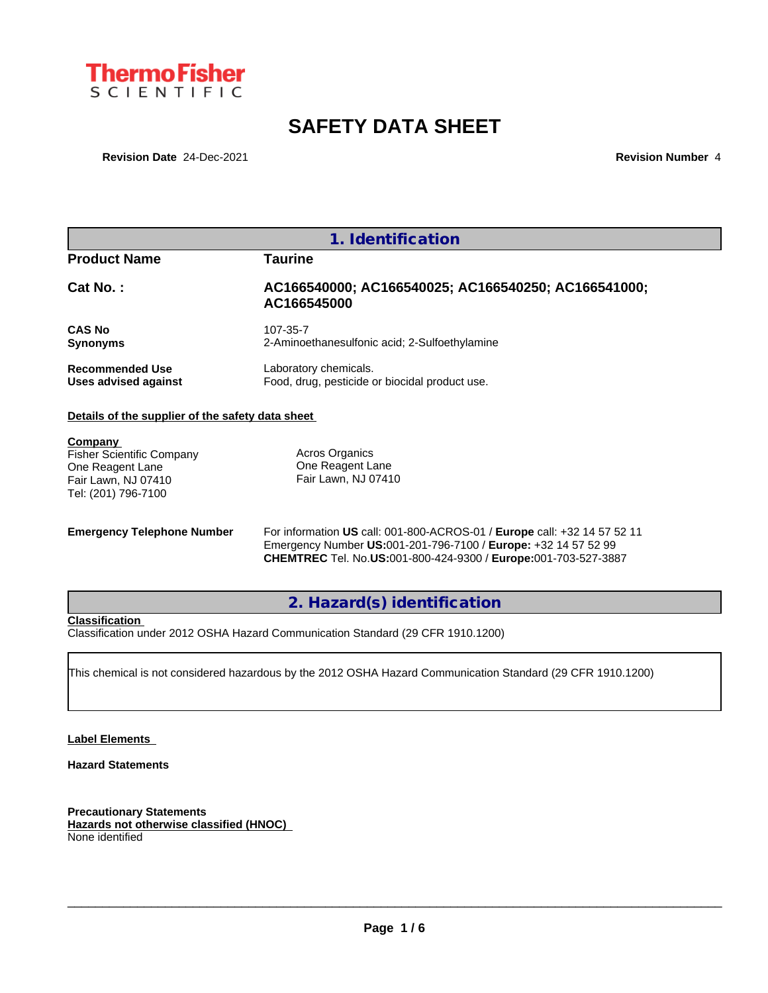

# **SAFETY DATA SHEET**

**Revision Date** 24-Dec-2021 **Revision Date** 24-Dec-2021

|                                                                                                               | 1. Identification                                                       |
|---------------------------------------------------------------------------------------------------------------|-------------------------------------------------------------------------|
| <b>Product Name</b>                                                                                           | Taurine                                                                 |
| Cat No.:                                                                                                      | AC166540000; AC166540025; AC166540250; AC166541000;<br>AC166545000      |
| <b>CAS No</b><br><b>Synonyms</b>                                                                              | 107-35-7<br>2-Aminoethanesulfonic acid; 2-Sulfoethylamine               |
| <b>Recommended Use</b><br>Uses advised against                                                                | Laboratory chemicals.<br>Food, drug, pesticide or biocidal product use. |
| Details of the supplier of the safety data sheet                                                              |                                                                         |
| Company<br><b>Fisher Scientific Company</b><br>One Reagent Lane<br>Fair Lawn, NJ 07410<br>Tel: (201) 796-7100 | Acros Organics<br>One Reagent Lane<br>Fair Lawn, NJ 07410               |

**Emergency Telephone Number** For information **US** call: 001-800-ACROS-01 / **Europe** call: +32 14 57 52 11 Emergency Number **US:**001-201-796-7100 / **Europe:** +32 14 57 52 99 **CHEMTREC** Tel. No.**US:**001-800-424-9300 / **Europe:**001-703-527-3887

**2. Hazard(s) identification**

**Classification**

Classification under 2012 OSHA Hazard Communication Standard (29 CFR 1910.1200)

This chemical is not considered hazardous by the 2012 OSHA Hazard Communication Standard (29 CFR 1910.1200)

## **Label Elements**

**Hazard Statements**

**Precautionary Statements Hazards not otherwise classified (HNOC)** None identified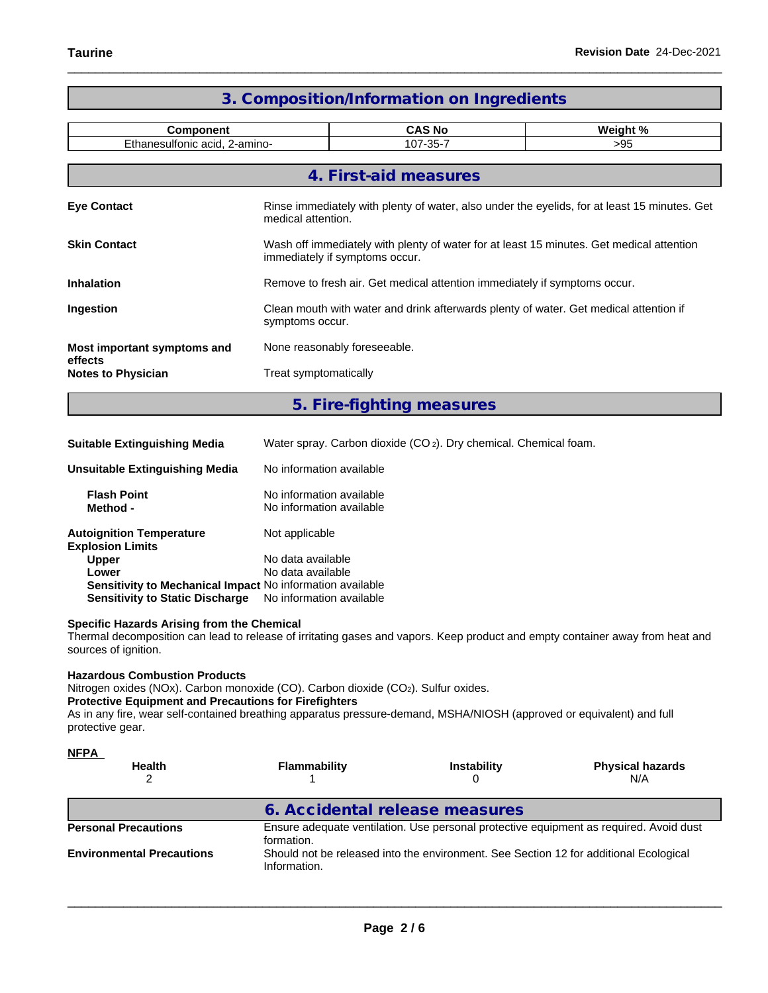| <b>Component</b>                       | Weight %                                                                                                                   |                                                                                                                    |     |  |  |
|----------------------------------------|----------------------------------------------------------------------------------------------------------------------------|--------------------------------------------------------------------------------------------------------------------|-----|--|--|
| Ethanesulfonic acid, 2-amino-          |                                                                                                                            | 107-35-7                                                                                                           | >95 |  |  |
|                                        |                                                                                                                            | 4. First-aid measures                                                                                              |     |  |  |
| <b>Eye Contact</b>                     |                                                                                                                            | Rinse immediately with plenty of water, also under the eyelids, for at least 15 minutes. Get<br>medical attention. |     |  |  |
| <b>Skin Contact</b>                    | Wash off immediately with plenty of water for at least 15 minutes. Get medical attention<br>immediately if symptoms occur. |                                                                                                                    |     |  |  |
| <b>Inhalation</b>                      |                                                                                                                            | Remove to fresh air. Get medical attention immediately if symptoms occur.                                          |     |  |  |
| Ingestion                              |                                                                                                                            | Clean mouth with water and drink afterwards plenty of water. Get medical attention if<br>symptoms occur.           |     |  |  |
| Most important symptoms and<br>effects |                                                                                                                            | None reasonably foreseeable.                                                                                       |     |  |  |
| <b>Notes to Physician</b>              |                                                                                                                            | Treat symptomatically                                                                                              |     |  |  |
|                                        |                                                                                                                            | 5. Fire-fighting measures                                                                                          |     |  |  |

| <b>Suitable Extinguishing Media</b>                              | Water spray. Carbon dioxide (CO <sub>2</sub> ). Dry chemical. Chemical foam. |
|------------------------------------------------------------------|------------------------------------------------------------------------------|
| Unsuitable Extinguishing Media                                   | No information available                                                     |
| <b>Flash Point</b><br>Method -                                   | No information available<br>No information available                         |
| <b>Autoignition Temperature</b><br><b>Explosion Limits</b>       | Not applicable                                                               |
| <b>Upper</b>                                                     | No data available                                                            |
|                                                                  |                                                                              |
| Lower                                                            | No data available                                                            |
| <b>Sensitivity to Mechanical Impact No information available</b> |                                                                              |

## **Specific Hazards Arising from the Chemical**

Thermal decomposition can lead to release of irritating gases and vapors. Keep product and empty container away from heat and sources of ignition.

## **Hazardous Combustion Products**

Nitrogen oxides (NOx). Carbon monoxide (CO). Carbon dioxide (CO2). Sulfur oxides.

## **Protective Equipment and Precautions for Firefighters**

As in any fire, wear self-contained breathing apparatus pressure-demand, MSHA/NIOSH (approved or equivalent) and full protective gear.

| <u>NFPA</u>                      |                                |                                                                                       |                                                                                        |
|----------------------------------|--------------------------------|---------------------------------------------------------------------------------------|----------------------------------------------------------------------------------------|
| <b>Health</b>                    | <b>Flammability</b>            | <b>Instability</b>                                                                    | <b>Physical hazards</b><br>N/A                                                         |
|                                  | 6. Accidental release measures |                                                                                       |                                                                                        |
| <b>Personal Precautions</b>      | formation.                     |                                                                                       | Ensure adequate ventilation. Use personal protective equipment as required. Avoid dust |
| <b>Environmental Precautions</b> | Information.                   | Should not be released into the environment. See Section 12 for additional Ecological |                                                                                        |
|                                  |                                |                                                                                       |                                                                                        |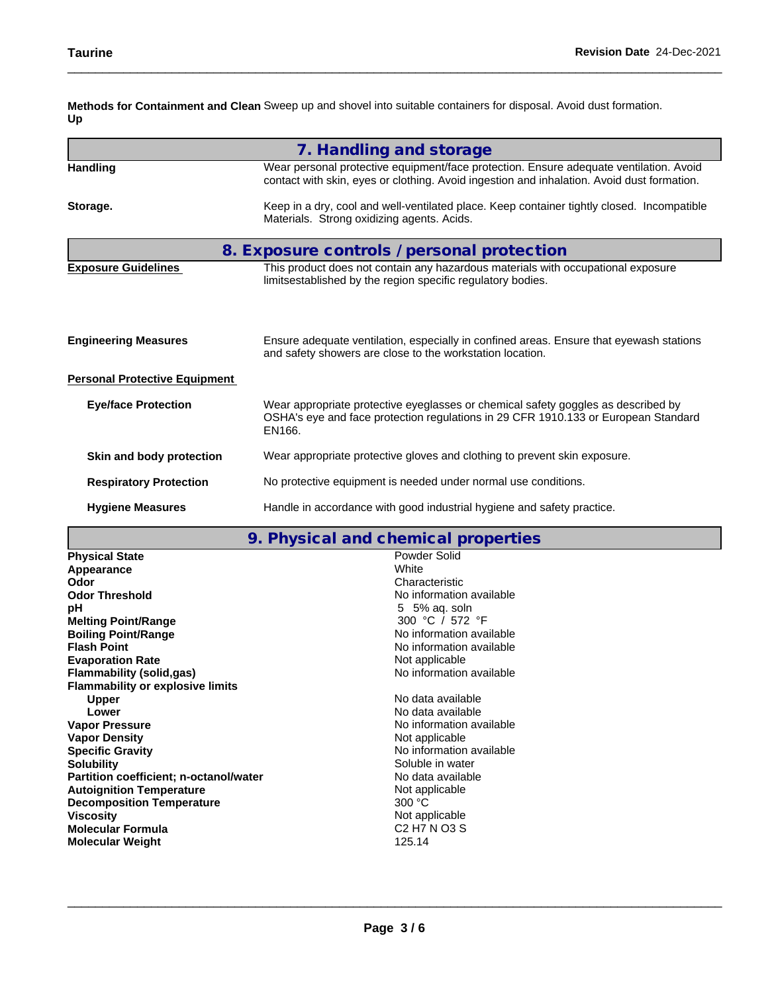**Methods for Containment and Clean** Sweep up and shovel into suitable containers for disposal. Avoid dust formation. **Up**

| 7. Handling and storage                                                                                                                                                              |
|--------------------------------------------------------------------------------------------------------------------------------------------------------------------------------------|
| Wear personal protective equipment/face protection. Ensure adequate ventilation. Avoid<br>contact with skin, eyes or clothing. Avoid ingestion and inhalation. Avoid dust formation. |
| Keep in a dry, cool and well-ventilated place. Keep container tightly closed. Incompatible<br>Materials. Strong oxidizing agents. Acids.                                             |
| 8. Exposure controls / personal protection                                                                                                                                           |
| This product does not contain any hazardous materials with occupational exposure<br>limitsestablished by the region specific regulatory bodies.                                      |
| Ensure adequate ventilation, especially in confined areas. Ensure that eyewash stations<br>and safety showers are close to the workstation location.                                 |
| <b>Personal Protective Equipment</b>                                                                                                                                                 |
| Wear appropriate protective eyeglasses or chemical safety goggles as described by<br>OSHA's eye and face protection regulations in 29 CFR 1910.133 or European Standard<br>EN166.    |
| Wear appropriate protective gloves and clothing to prevent skin exposure.                                                                                                            |
| No protective equipment is needed under normal use conditions.                                                                                                                       |
| Handle in accordance with good industrial hygiene and safety practice.                                                                                                               |
|                                                                                                                                                                                      |

## **9. Physical and chemical properties**

| 7. THYSICAI AND CHONNEGI PLOPERICS                                 |
|--------------------------------------------------------------------|
| Powder Solid                                                       |
| White                                                              |
| Characteristic                                                     |
| No information available                                           |
| 5 5% ag. soln                                                      |
| 300 °C / 572 °F                                                    |
| No information available                                           |
| No information available                                           |
| Not applicable                                                     |
| No information available                                           |
|                                                                    |
| No data available                                                  |
| No data available                                                  |
| No information available                                           |
| Not applicable                                                     |
| No information available                                           |
| Soluble in water                                                   |
| No data available<br><b>Partition coefficient; n-octanol/water</b> |
| Not applicable                                                     |
| 300 °C                                                             |
| Not applicable                                                     |
| C <sub>2</sub> H <sub>7</sub> N O <sub>3</sub> S                   |
| 125.14                                                             |
|                                                                    |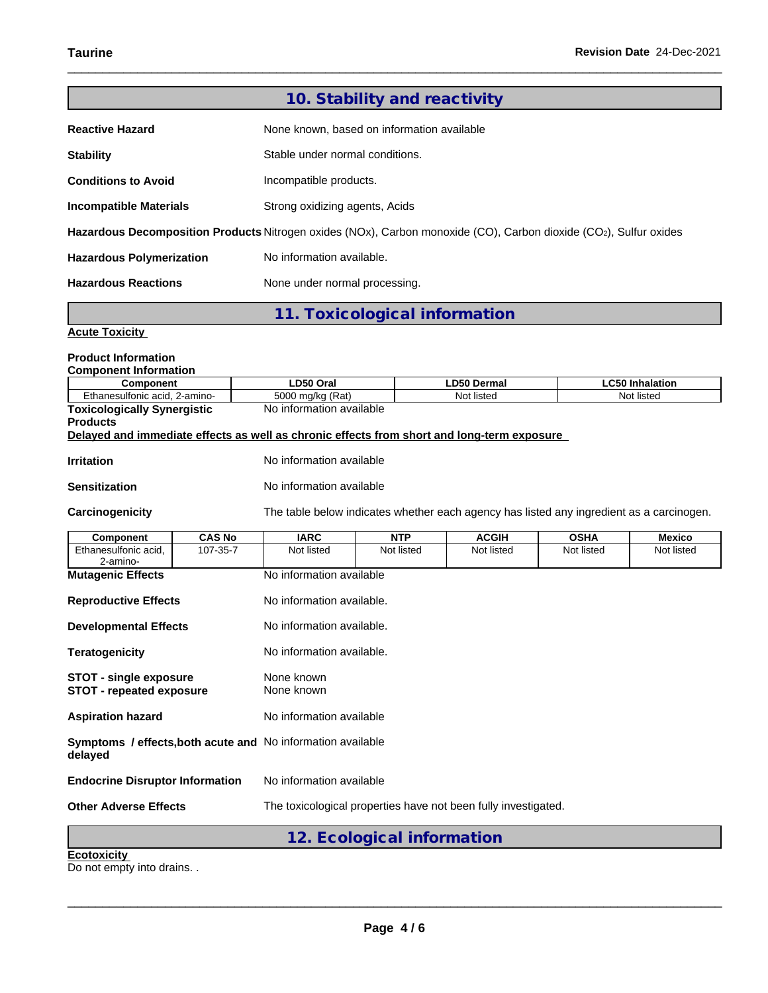|                                 | 10. Stability and reactivity                                                                                      |
|---------------------------------|-------------------------------------------------------------------------------------------------------------------|
| <b>Reactive Hazard</b>          | None known, based on information available                                                                        |
| <b>Stability</b>                | Stable under normal conditions.                                                                                   |
| <b>Conditions to Avoid</b>      | Incompatible products.                                                                                            |
| <b>Incompatible Materials</b>   | Strong oxidizing agents, Acids                                                                                    |
|                                 | Hazardous Decomposition Products Nitrogen oxides (NOx), Carbon monoxide (CO), Carbon dioxide (CO2), Sulfur oxides |
| <b>Hazardous Polymerization</b> | No information available.                                                                                         |
| <b>Hazardous Reactions</b>      | None under normal processing.                                                                                     |

**11. Toxicological information**

## **Acute Toxicity**

## **Product Information**

|  | <b>Component Information</b> |  |
|--|------------------------------|--|
|--|------------------------------|--|

| <b>Component</b>                   | LD50 Oral                                                                                  | <b>LD50 Dermal</b> | <b>LC50 Inhalation</b> |
|------------------------------------|--------------------------------------------------------------------------------------------|--------------------|------------------------|
| Ethanesulfonic acid, 2-amino-      | 5000 mg/kg (Rat)                                                                           | Not listed         | Not listed             |
| <b>Toxicologically Synergistic</b> | No information available                                                                   |                    |                        |
| <b>Products</b>                    |                                                                                            |                    |                        |
|                                    | Delayed and immediate effects as well as chronic effects from short and long-term exposure |                    |                        |
|                                    |                                                                                            |                    |                        |
| <b>Irritation</b>                  | No information available                                                                   |                    |                        |
|                                    |                                                                                            |                    |                        |

| Sensitization | No information available |
|---------------|--------------------------|
|---------------|--------------------------|

Carcinogenicity The table below indicates whether each agency has listed any ingredient as a carcinogen.

| Component                                                                     | <b>CAS No</b> | <b>IARC</b>               | <b>NTP</b>                 | <b>ACGIH</b>                                                   | <b>OSHA</b> | <b>Mexico</b> |
|-------------------------------------------------------------------------------|---------------|---------------------------|----------------------------|----------------------------------------------------------------|-------------|---------------|
| Ethanesulfonic acid,<br>2-amino-                                              | 107-35-7      | Not listed                | Not listed                 | Not listed                                                     | Not listed  | Not listed    |
| <b>Mutagenic Effects</b>                                                      |               | No information available  |                            |                                                                |             |               |
| <b>Reproductive Effects</b>                                                   |               | No information available. |                            |                                                                |             |               |
| <b>Developmental Effects</b>                                                  |               | No information available. |                            |                                                                |             |               |
| <b>Teratogenicity</b>                                                         |               | No information available. |                            |                                                                |             |               |
| <b>STOT - single exposure</b><br><b>STOT - repeated exposure</b>              |               | None known<br>None known  |                            |                                                                |             |               |
| <b>Aspiration hazard</b>                                                      |               | No information available  |                            |                                                                |             |               |
| <b>Symptoms / effects, both acute and No information available</b><br>delayed |               |                           |                            |                                                                |             |               |
| <b>Endocrine Disruptor Information</b>                                        |               | No information available  |                            |                                                                |             |               |
| <b>Other Adverse Effects</b>                                                  |               |                           |                            | The toxicological properties have not been fully investigated. |             |               |
|                                                                               |               |                           | 12. Ecological information |                                                                |             |               |
| <b>Ecotoxicity</b>                                                            |               |                           |                            |                                                                |             |               |

Do not empty into drains. .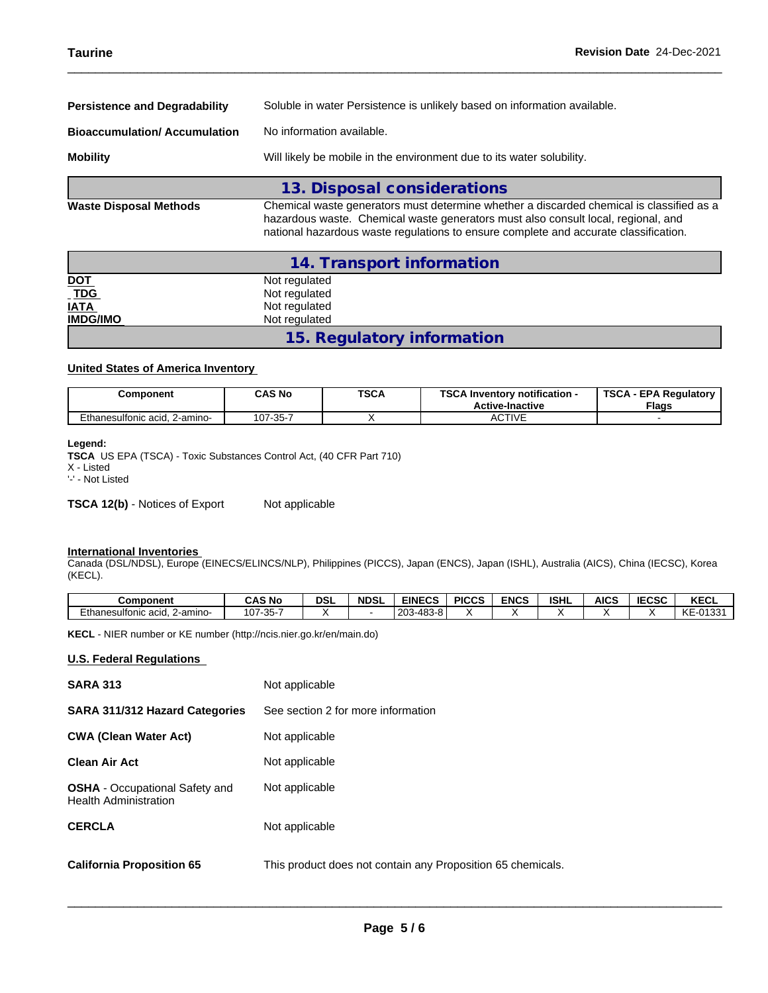| <b>Persistence and Degradability</b> | Soluble in water Persistence is unlikely based on information available.                                                                                                      |
|--------------------------------------|-------------------------------------------------------------------------------------------------------------------------------------------------------------------------------|
| <b>Bioaccumulation/Accumulation</b>  | No information available.                                                                                                                                                     |
| <b>Mobility</b>                      | Will likely be mobile in the environment due to its water solubility.                                                                                                         |
|                                      | 13. Disposal considerations                                                                                                                                                   |
| <b>Waste Disposal Methods</b>        | Chemical waste generators must determine whether a discarded chemical is classified as a<br>hazardous waste. Chemical waste generators must also consult local, regional, and |

|                 | 14. Transport information  |  |
|-----------------|----------------------------|--|
|                 | Not regulated              |  |
| $NOT$           | Not regulated              |  |
| <b>IATA</b>     | Not regulated              |  |
| <b>IMDG/IMO</b> | Not regulated              |  |
|                 | 15. Regulatory information |  |

national hazardous waste regulations to ensure complete and accurate classification.

## **United States of America Inventory**

| Component                     | CAS No         | <b>TSCA</b> | TCO A<br>$-$<br>notification -<br>. Inventorv<br><b>Active-Inactive</b> | <b>TSCA</b><br><b>EPA Requiatory</b><br><b>Flags</b> |
|-------------------------------|----------------|-------------|-------------------------------------------------------------------------|------------------------------------------------------|
| Ethanesulfonic acid, 2-amino- | $.07 - 35 - 7$ |             | <b>ACTIVE</b>                                                           |                                                      |

#### **Legend:**

**TSCA** US EPA (TSCA) - Toxic Substances Control Act, (40 CFR Part 710) X - Listed '-' - Not Listed

**TSCA 12(b)** - Notices of Export Not applicable

## **International Inventories**

Canada (DSL/NDSL), Europe (EINECS/ELINCS/NLP), Philippines (PICCS), Japan (ENCS), Japan (ISHL), Australia (AICS), China (IECSC), Korea (KECL).

| <b>Component</b>                 | <b>CAS No</b> | <b>DSL</b> | <b>NDSL</b> | <b>EINECS</b>                    | <b>PICCS</b> | <b>ENCS</b> | <b>ISHL</b> | AICS | <b>IECSC</b> | <b>KECL</b>                           |
|----------------------------------|---------------|------------|-------------|----------------------------------|--------------|-------------|-------------|------|--------------|---------------------------------------|
| Ethanesulfonic acid.<br>∠-amino- | 107-35-7      |            |             | $.4.48^\circ$<br>203<br>- 3-81ه. |              |             |             |      |              | $\sqrt{2}$<br>0122'<br>KE-U<br>ט ו טי |

**KECL** - NIER number or KE number (http://ncis.nier.go.kr/en/main.do)

## **U.S. Federal Regulations**

| <b>SARA 313</b>                                                       | Not applicable                                              |
|-----------------------------------------------------------------------|-------------------------------------------------------------|
| <b>SARA 311/312 Hazard Categories</b>                                 | See section 2 for more information                          |
| <b>CWA (Clean Water Act)</b>                                          | Not applicable                                              |
| <b>Clean Air Act</b>                                                  | Not applicable                                              |
| <b>OSHA</b> - Occupational Safety and<br><b>Health Administration</b> | Not applicable                                              |
| <b>CERCLA</b>                                                         | Not applicable                                              |
| <b>California Proposition 65</b>                                      | This product does not contain any Proposition 65 chemicals. |